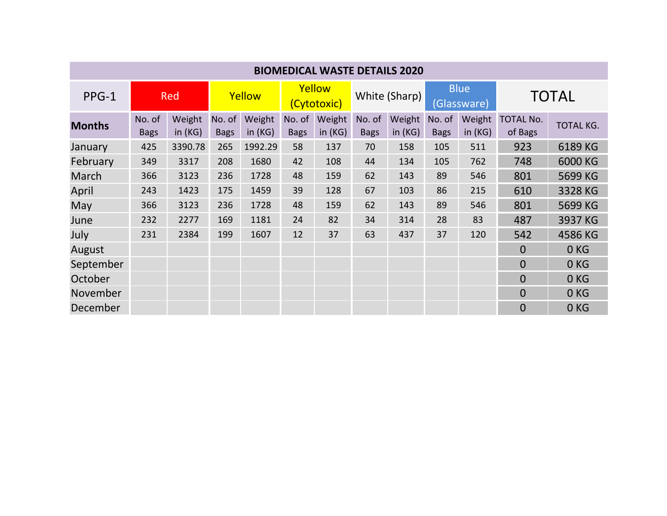| <b>BIOMEDICAL WASTE DETAILS 2020</b> |                       |                     |                       |                     |                       |                  |                       |                     |                            |                     |                             |                  |
|--------------------------------------|-----------------------|---------------------|-----------------------|---------------------|-----------------------|------------------|-----------------------|---------------------|----------------------------|---------------------|-----------------------------|------------------|
| $PPG-1$                              | <b>Red</b>            |                     | Yellow                |                     | Yellow<br>(Cytotoxic) |                  | White (Sharp)         |                     | <b>Blue</b><br>(Glassware) |                     | <b>TOTAL</b>                |                  |
| <b>Months</b>                        | No. of<br><b>Bags</b> | Weight<br>in $(KG)$ | No. of<br><b>Bags</b> | Weight<br>in $(KG)$ | No. of<br><b>Bags</b> | Weight<br>in(KG) | No. of<br><b>Bags</b> | Weight<br>in $(KG)$ | No. of<br><b>Bags</b>      | Weight<br>in $(KG)$ | <b>TOTAL No.</b><br>of Bags | <b>TOTAL KG.</b> |
| January                              | 425                   | 3390.78             | 265                   | 1992.29             | 58                    | 137              | 70                    | 158                 | 105                        | 511                 | 923                         | 6189 KG          |
| February                             | 349                   | 3317                | 208                   | 1680                | 42                    | 108              | 44                    | 134                 | 105                        | 762                 | 748                         | 6000 KG          |
| March                                | 366                   | 3123                | 236                   | 1728                | 48                    | 159              | 62                    | 143                 | 89                         | 546                 | 801                         | 5699 KG          |
| April                                | 243                   | 1423                | 175                   | 1459                | 39                    | 128              | 67                    | 103                 | 86                         | 215                 | 610                         | 3328 KG          |
| May                                  | 366                   | 3123                | 236                   | 1728                | 48                    | 159              | 62                    | 143                 | 89                         | 546                 | 801                         | 5699 KG          |
| June                                 | 232                   | 2277                | 169                   | 1181                | 24                    | 82               | 34                    | 314                 | 28                         | 83                  | 487                         | 3937 KG          |
| July                                 | 231                   | 2384                | 199                   | 1607                | 12                    | 37               | 63                    | 437                 | 37                         | 120                 | 542                         | 4586 KG          |
| August                               |                       |                     |                       |                     |                       |                  |                       |                     |                            |                     | $\overline{0}$              | 0 <sub>KG</sub>  |
| September                            |                       |                     |                       |                     |                       |                  |                       |                     |                            |                     | $\overline{0}$              | 0KG              |
| October                              |                       |                     |                       |                     |                       |                  |                       |                     |                            |                     | $\Omega$                    | 0 <sub>KG</sub>  |
| November                             |                       |                     |                       |                     |                       |                  |                       |                     |                            |                     | $\Omega$                    | 0 <sub>KG</sub>  |
| December                             |                       |                     |                       |                     |                       |                  |                       |                     |                            |                     | $\overline{0}$              | 0 <sub>KG</sub>  |